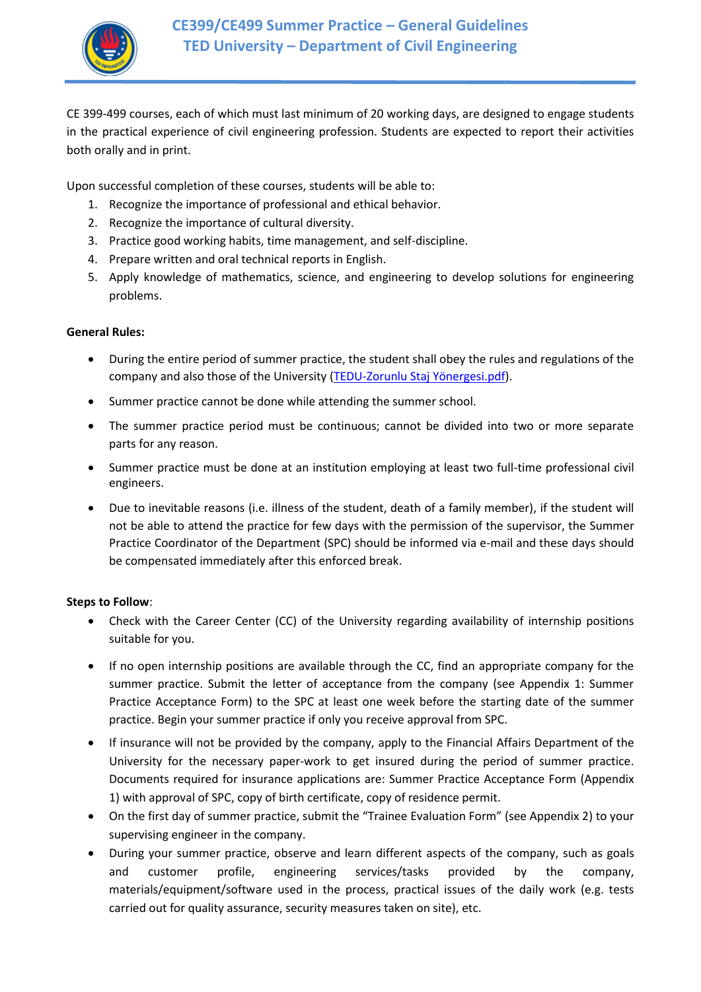

CE 399-499 courses, each of which must last minimum of 20 working days, are designed to engage students in the practical experience of civil engineering profession. Students are expected to report their activities both orally and in print.

Upon successful completion of these courses, students will be able to:

- 1. Recognize the importance of professional and ethical behavior.
- 2. Recognize the importance of cultural diversity.
- 3. Practice good working habits, time management, and self-discipline.
- 4. Prepare written and oral technical reports in English.
- 5. Apply knowledge of mathematics, science, and engineering to develop solutions for engineering problems.

### **General Rules:**

- During the entire period of summer practice, the student shall obey the rules and regulations of the company and also those of the University (TEDU-Zorunlu [Staj Yönergesi.pdf](http://www.tedu.edu.tr/Assets/Documents/Content/Yonergeler/TEDU_zorunlu_staj_yonergesi.pdf)).
- Summer practice cannot be done while attending the summer school.
- The summer practice period must be continuous; cannot be divided into two or more separate parts for any reason.
- Summer practice must be done at an institution employing at least two full-time professional civil engineers.
- Due to inevitable reasons (i.e. illness of the student, death of a family member), if the student will not be able to attend the practice for few days with the permission of the supervisor, the Summer Practice Coordinator of the Department (SPC) should be informed via e-mail and these days should be compensated immediately after this enforced break.

# **Steps to Follow**:

- Check with the Career Center (CC) of the University regarding availability of internship positions suitable for you.
- If no open internship positions are available through the CC, find an appropriate company for the summer practice. Submit the letter of acceptance from the company (see Appendix 1: Summer Practice Acceptance Form) to the SPC at least one week before the starting date of the summer practice. Begin your summer practice if only you receive approval from SPC.
- If insurance will not be provided by the company, apply to the Financial Affairs Department of the University for the necessary paper-work to get insured during the period of summer practice. Documents required for insurance applications are: Summer Practice Acceptance Form (Appendix 1) with approval of SPC, copy of birth certificate, copy of residence permit.
- On the first day of summer practice, submit the "Trainee Evaluation Form" (see Appendix 2) to your supervising engineer in the company.
- During your summer practice, observe and learn different aspects of the company, such as goals and customer profile, engineering services/tasks provided by the company, materials/equipment/software used in the process, practical issues of the daily work (e.g. tests carried out for quality assurance, security measures taken on site), etc.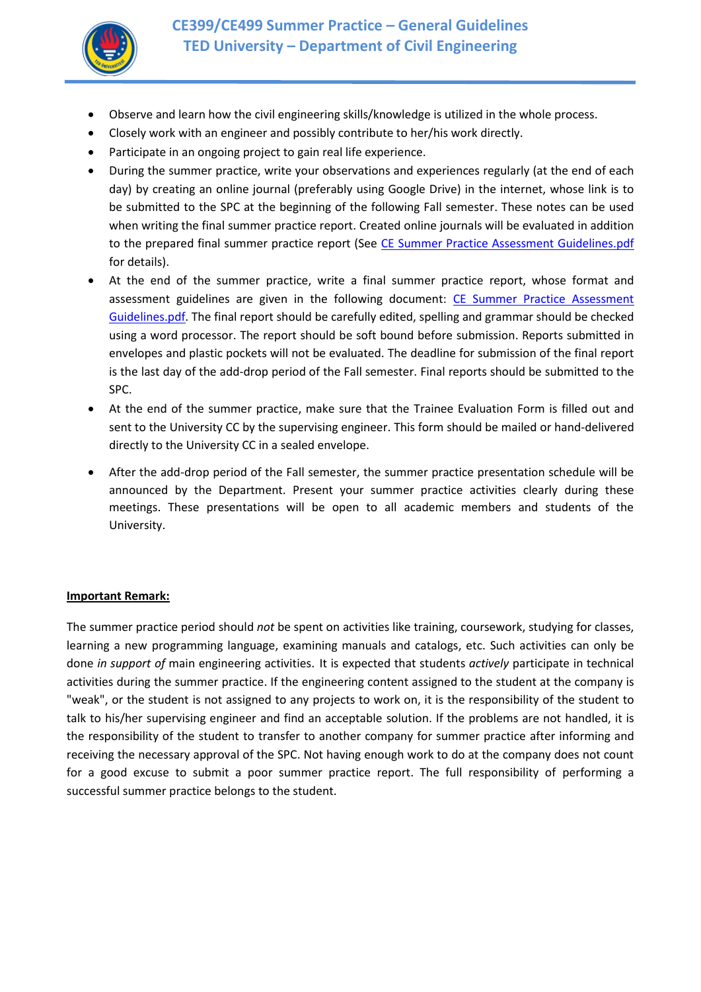

- Observe and learn how the civil engineering skills/knowledge is utilized in the whole process.
- Closely work with an engineer and possibly contribute to her/his work directly.
- Participate in an ongoing project to gain real life experience.
- During the summer practice, write your observations and experiences regularly (at the end of each day) by creating an online journal (preferably using Google Drive) in the internet, whose link is to be submitted to the SPC at the beginning of the following Fall semester. These notes can be used when writing the final summer practice report. Created online journals will be evaluated in addition to the prepared final summer practice report (See [CE Summer Practice Assessment Guidelines.pdf](http://www.tedu.edu.tr/Assets/Documents/Content/Akademik/CE/CE_Summer_Practice_Assessment_Guidelines.pdf) for details).
- At the end of the summer practice, write a final summer practice report, whose format and assessment guidelines are given in the following document: [CE Summer Practice Assessment](http://www.tedu.edu.tr/Assets/Documents/Content/Akademik/CE/CE_Summer_Practice_Guidelines.pdf)  [Guidelines.pdf.](http://www.tedu.edu.tr/Assets/Documents/Content/Akademik/CE/CE_Summer_Practice_Guidelines.pdf) The final report should be carefully edited, spelling and grammar should be checked using a word processor. The report should be soft bound before submission. Reports submitted in envelopes and plastic pockets will not be evaluated. The deadline for submission of the final report is the last day of the add-drop period of the Fall semester. Final reports should be submitted to the SPC.
- At the end of the summer practice, make sure that the Trainee Evaluation Form is filled out and sent to the University CC by the supervising engineer. This form should be mailed or hand-delivered directly to the University CC in a sealed envelope.
- After the add-drop period of the Fall semester, the summer practice presentation schedule will be announced by the Department. Present your summer practice activities clearly during these meetings. These presentations will be open to all academic members and students of the University.

# **Important Remark:**

The summer practice period should *not* be spent on activities like training, coursework, studying for classes, learning a new programming language, examining manuals and catalogs, etc. Such activities can only be done *in support of* main engineering activities. It is expected that students *actively* participate in technical activities during the summer practice. If the engineering content assigned to the student at the company is "weak", or the student is not assigned to any projects to work on, it is the responsibility of the student to talk to his/her supervising engineer and find an acceptable solution. If the problems are not handled, it is the responsibility of the student to transfer to another company for summer practice after informing and receiving the necessary approval of the SPC. Not having enough work to do at the company does not count for a good excuse to submit a poor summer practice report. The full responsibility of performing a successful summer practice belongs to the student.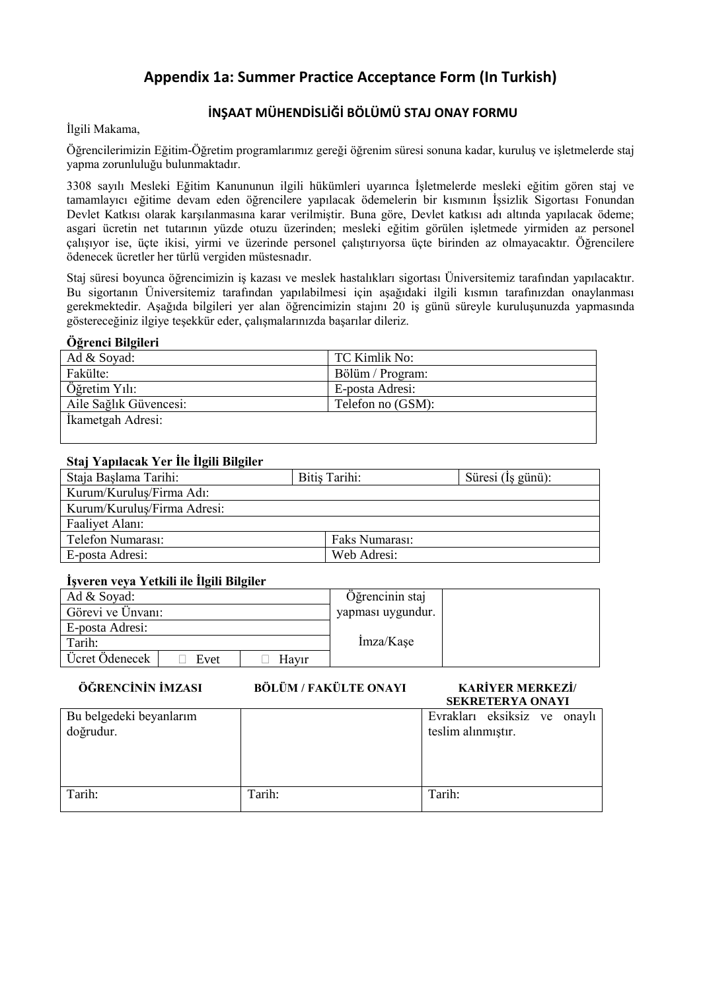# **Appendix 1a: Summer Practice Acceptance Form (In Turkish)**

# **İNŞAAT MÜHENDİSLİĞİ BÖLÜMÜ STAJ ONAY FORMU**

İlgili Makama,

Öğrencilerimizin Eğitim-Öğretim programlarımız gereği öğrenim süresi sonuna kadar, kuruluş ve işletmelerde staj yapma zorunluluğu bulunmaktadır.

3308 sayılı Mesleki Eğitim Kanununun ilgili hükümleri uyarınca İşletmelerde mesleki eğitim gören staj ve tamamlayıcı eğitime devam eden öğrencilere yapılacak ödemelerin bir kısmının İşsizlik Sigortası Fonundan Devlet Katkısı olarak karşılanmasına karar verilmiştir. Buna göre, Devlet katkısı adı altında yapılacak ödeme; asgari ücretin net tutarının yüzde otuzu üzerinden; mesleki eğitim görülen işletmede yirmiden az personel çalışıyor ise, üçte ikisi, yirmi ve üzerinde personel çalıştırıyorsa üçte birinden az olmayacaktır. Öğrencilere ödenecek ücretler her türlü vergiden müstesnadır.

Staj süresi boyunca öğrencimizin iş kazası ve meslek hastalıkları sigortası Üniversitemiz tarafından yapılacaktır. Bu sigortanın Üniversitemiz tarafından yapılabilmesi için aşağıdaki ilgili kısmın tarafınızdan onaylanması gerekmektedir. Aşağıda bilgileri yer alan öğrencimizin stajını 20 iş günü süreyle kuruluşunuzda yapmasında göstereceğiniz ilgiye teşekkür eder, çalışmalarınızda başarılar dileriz.

### **Öğrenci Bilgileri**

| Ad & Soyad:            | TC Kimlik No:     |
|------------------------|-------------------|
| Fakülte:               | Bölüm / Program:  |
| Öğretim Yılı:          | E-posta Adresi:   |
| Aile Sağlık Güvencesi: | Telefon no (GSM): |
| İkametgah Adresi:      |                   |
|                        |                   |

# **Staj Yapılacak Yer İle İlgili Bilgiler**

| Staja Başlama Tarihi:       | Bitis Tarihi:  | Süresi (İş günü): |
|-----------------------------|----------------|-------------------|
| Kurum/Kurulus/Firma Adı:    |                |                   |
| Kurum/Kurulus/Firma Adresi: |                |                   |
| Faaliyet Alanı:             |                |                   |
| Telefon Numarası:           | Faks Numarası: |                   |
| E-posta Adresi:             | Web Adresi:    |                   |

# **İşveren veya Yetkili ile İlgili Bilgiler**

| Ad & Soyad:            |       | Öğrencinin staj   |  |
|------------------------|-------|-------------------|--|
| Görevi ve Ünvanı:      |       | yapması uygundur. |  |
| E-posta Adresi:        |       |                   |  |
| Tarih:                 |       | Imza/Kase         |  |
| Ücret Ödenecek<br>Evet | Havir |                   |  |

### **ÖĞRENCİNİN İMZASI BÖLÜM / FAKÜLTE ONAYI KARİYER MERKEZİ/**

# **SEKRETERYA ONAYI**

| Bu belgedeki beyanlarım<br>doğrudur. |        | Evrakları eksiksiz ve onaylı<br>teslim alınmıştır. |
|--------------------------------------|--------|----------------------------------------------------|
| Tarih:                               | Tarih: | Tarih:                                             |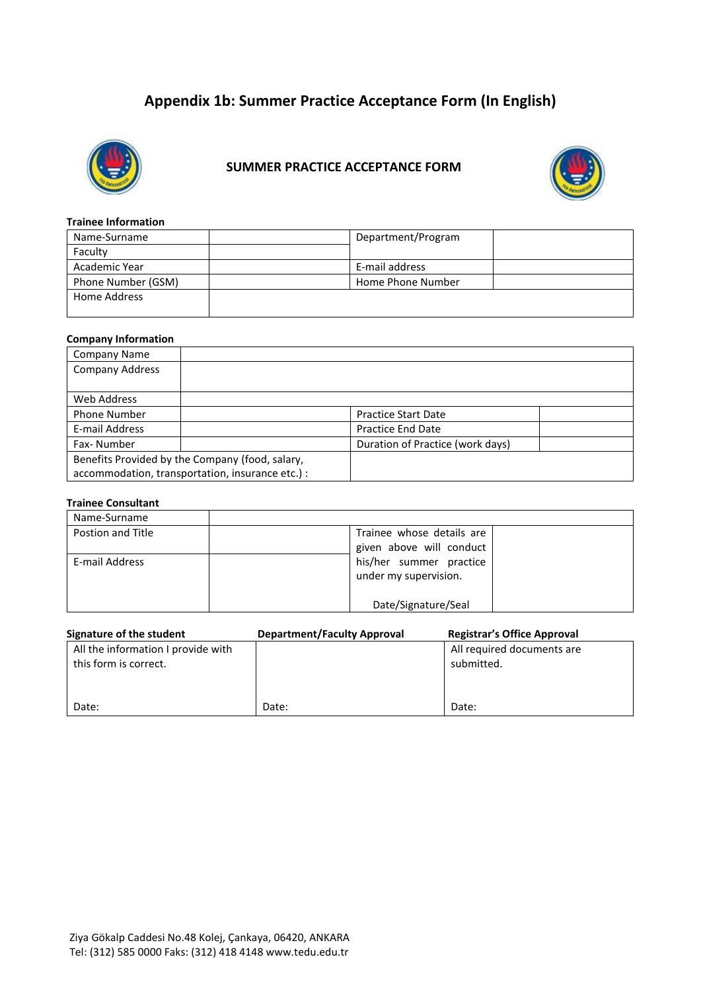# **Appendix 1b: Summer Practice Acceptance Form (In English)**



# **SUMMER PRACTICE ACCEPTANCE FORM**



#### **Trainee Information**

| Name-Surname       | Department/Program |  |
|--------------------|--------------------|--|
| Faculty            |                    |  |
| Academic Year      | E-mail address     |  |
| Phone Number (GSM) | Home Phone Number  |  |
| Home Address       |                    |  |
|                    |                    |  |

#### **Company Information**

| <b>Company Name</b>                              |                                  |  |
|--------------------------------------------------|----------------------------------|--|
| <b>Company Address</b>                           |                                  |  |
|                                                  |                                  |  |
| Web Address                                      |                                  |  |
| <b>Phone Number</b>                              | <b>Practice Start Date</b>       |  |
| E-mail Address                                   | <b>Practice End Date</b>         |  |
| Fax-Number                                       | Duration of Practice (work days) |  |
| Benefits Provided by the Company (food, salary,  |                                  |  |
| accommodation, transportation, insurance etc.) : |                                  |  |

#### **Trainee Consultant**

| Name-Surname      |                           |
|-------------------|---------------------------|
| Postion and Title | Trainee whose details are |
|                   | given above will conduct  |
| E-mail Address    | his/her summer practice   |
|                   | under my supervision.     |
|                   |                           |
|                   | Date/Signature/Seal       |

| Signature of the student           | <b>Department/Faculty Approval</b> | <b>Registrar's Office Approval</b> |
|------------------------------------|------------------------------------|------------------------------------|
| All the information I provide with |                                    | All required documents are         |
| this form is correct.              |                                    | submitted.                         |
|                                    |                                    |                                    |
|                                    |                                    |                                    |
| Date:                              | Date:                              | Date:                              |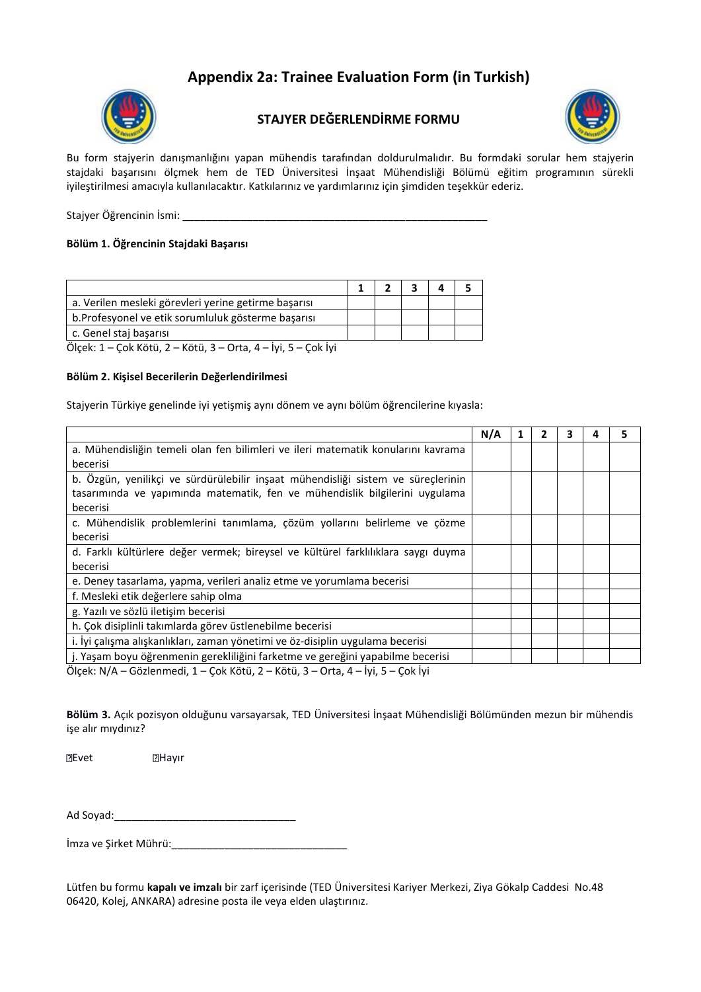# **Appendix 2a: Trainee Evaluation Form (in Turkish)**



# **STAJYER DEĞERLENDİRME FORMU**



Bu form stajyerin danışmanlığını yapan mühendis tarafından doldurulmalıdır. Bu formdaki sorular hem stajyerin stajdaki başarısını ölçmek hem de TED Üniversitesi İnşaat Mühendisliği Bölümü eğitim programının sürekli iyileştirilmesi amacıyla kullanılacaktır. Katkılarınız ve yardımlarınız için şimdiden teşekkür ederiz.

Stajyer Öğrencinin İsmi: \_\_\_\_\_\_\_\_\_\_\_\_\_\_\_\_\_\_\_\_\_\_\_\_\_\_\_\_\_\_\_\_\_\_\_\_\_\_\_\_\_\_\_\_\_\_\_\_\_\_\_\_

### **Bölüm 1. Öğrencinin Stajdaki Başarısı**

| a. Verilen mesleki görevleri yerine getirme başarısı |  |  |  |
|------------------------------------------------------|--|--|--|
| b. Profesyonel ve etik sorumluluk gösterme başarısı  |  |  |  |
| c. Genel staj basarisi                               |  |  |  |

Ölçek: 1 – Çok Kötü, 2 – Kötü, 3 – Orta, 4 – İyi, 5 – Çok İyi

#### **Bölüm 2. Kişisel Becerilerin Değerlendirilmesi**

Stajyerin Türkiye genelinde iyi yetişmiş aynı dönem ve aynı bölüm öğrencilerine kıyasla:

|                                                                                   | N/A |  | 3 | 5 |
|-----------------------------------------------------------------------------------|-----|--|---|---|
| a. Mühendisliğin temeli olan fen bilimleri ve ileri matematik konularını kavrama  |     |  |   |   |
| becerisi                                                                          |     |  |   |   |
| b. Özgün, yenilikçi ve sürdürülebilir inşaat mühendisliği sistem ve süreçlerinin  |     |  |   |   |
| tasarımında ve yapımında matematik, fen ve mühendislik bilgilerini uygulama       |     |  |   |   |
| becerisi                                                                          |     |  |   |   |
| c. Mühendislik problemlerini tanımlama, çözüm yollarını belirleme ve çözme        |     |  |   |   |
| becerisi                                                                          |     |  |   |   |
| d. Farklı kültürlere değer vermek; bireysel ve kültürel farklılıklara saygı duyma |     |  |   |   |
| becerisi                                                                          |     |  |   |   |
| e. Deney tasarlama, yapma, verileri analiz etme ve yorumlama becerisi             |     |  |   |   |
| f. Mesleki etik değerlere sahip olma                                              |     |  |   |   |
| g. Yazılı ve sözlü iletişim becerisi                                              |     |  |   |   |
| h. Çok disiplinli takımlarda görev üstlenebilme becerisi                          |     |  |   |   |
| i. İyi çalışma alışkanlıkları, zaman yönetimi ve öz-disiplin uygulama becerisi    |     |  |   |   |
| j. Yaşam boyu öğrenmenin gerekliliğini farketme ve gereğini yapabilme becerisi    |     |  |   |   |
| ët tuli ost tu e tusse usse o ti se otis                                          |     |  |   |   |

Ölçek: N/A – Gözlenmedi, 1 – Çok Kötü, 2 – Kötü, 3 – Orta, 4 – İyi, 5 – Çok İyi

**Bölüm 3.** Açık pozisyon olduğunu varsayarsak, TED Üniversitesi İnşaat Mühendisliği Bölümünden mezun bir mühendis işe alır mıydınız?

**Exet Exercise** 

Ad Soyad:\_\_\_\_\_\_\_\_\_\_\_\_\_\_\_\_\_\_\_\_\_\_\_\_\_\_\_\_\_\_\_

İmza ve Şirket Mührü:\_\_\_\_\_\_\_\_\_\_\_\_\_\_\_\_\_\_\_\_\_\_\_\_\_\_\_\_\_\_

Lütfen bu formu **kapalı ve imzalı** bir zarf içerisinde (TED Üniversitesi Kariyer Merkezi, Ziya Gökalp Caddesi No.48 06420, Kolej, ANKARA) adresine posta ile veya elden ulaştırınız.